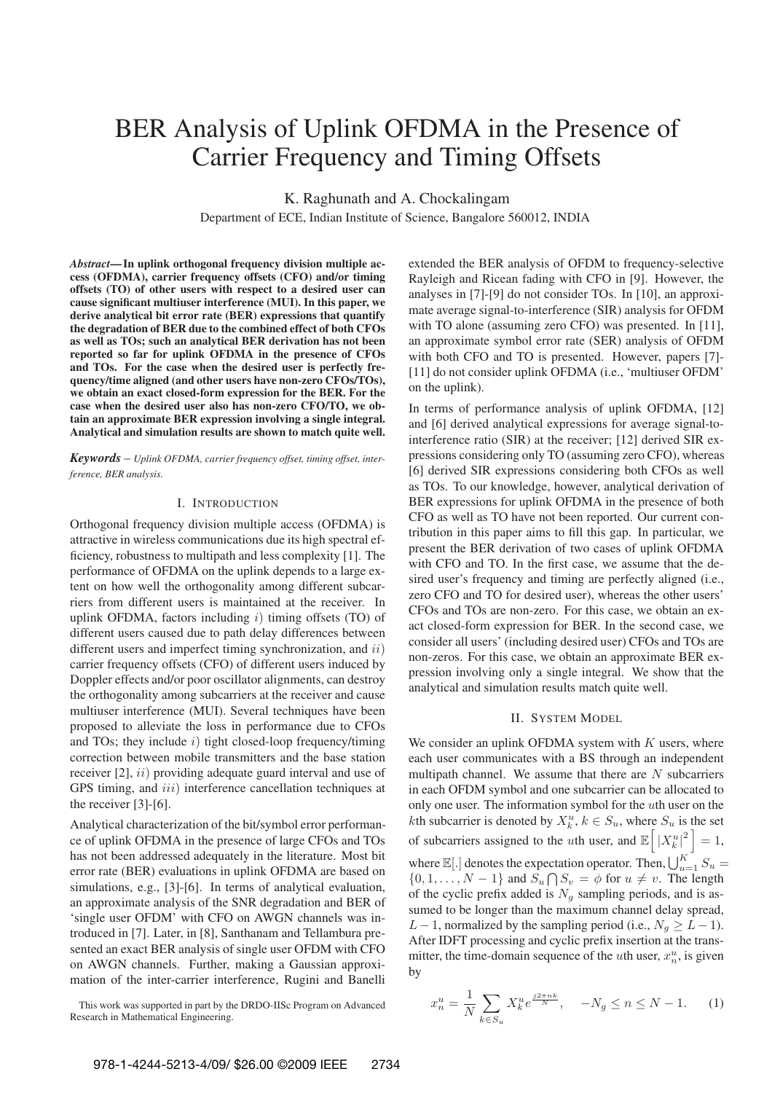# BER Analysis of Uplink OFDMA in the Presence of Carrier Frequency and Timing Offsets

K. Raghunath and A. Chockalingam

Department of ECE, Indian Institute of Science, Bangalore 560012, INDIA

*Abstract***—In uplink orthogonal frequency division multiple access (OFDMA), carrier frequency offsets (CFO) and/or timing offsets (TO) of other users with respect to a desired user can cause significant multiuser interference (MUI). In this paper, we derive analytical bit error rate (BER) expressions that quantify the degradation of BER due to the combined effect of both CFOs as well as TOs; such an analytical BER derivation has not been reported so far for uplink OFDMA in the presence of CFOs and TOs. For the case when the desired user is perfectly frequency/time aligned (and other users have non-zero CFOs/TOs), we obtain an exact closed-form expression for the BER. For the case when the desired user also has non-zero CFO/TO, we obtain an approximate BER expression involving a single integral. Analytical and simulation results are shown to match quite well.**

*Keywords* – *Uplink OFDMA, carrier frequency offset, timing offset, interference, BER analysis.*

# I. INTRODUCTION

Orthogonal frequency division multiple access (OFDMA) is attractive in wireless communications due its high spectral efficiency, robustness to multipath and less complexity [1]. The performance of OFDMA on the uplink depends to a large extent on how well the orthogonality among different subcarriers from different users is maintained at the receiver. In uplink OFDMA, factors including  $i$ ) timing offsets (TO) of different users caused due to path delay differences between different users and imperfect timing synchronization, and  $ii$ ) carrier frequency offsets (CFO) of different users induced by Doppler effects and/or poor oscillator alignments, can destroy the orthogonality among subcarriers at the receiver and cause multiuser interference (MUI). Several techniques have been proposed to alleviate the loss in performance due to CFOs and TOs; they include  $i)$  tight closed-loop frequency/timing correction between mobile transmitters and the base station receiver [2], *ii*) providing adequate guard interval and use of GPS timing, and *iii*) interference cancellation techniques at the receiver [3]-[6].

Analytical characterization of the bit/symbol error performance of uplink OFDMA in the presence of large CFOs and TOs has not been addressed adequately in the literature. Most bit error rate (BER) evaluations in uplink OFDMA are based on simulations, e.g., [3]-[6]. In terms of analytical evaluation, an approximate analysis of the SNR degradation and BER of 'single user OFDM' with CFO on AWGN channels was introduced in [7]. Later, in [8], Santhanam and Tellambura presented an exact BER analysis of single user OFDM with CFO on AWGN channels. Further, making a Gaussian approximation of the inter-carrier interference, Rugini and Banelli

This work was supported in part by the DRDO-IISc Program on Advanced Research in Mathematical Engineering.

extended the BER analysis of OFDM to frequency-selective Rayleigh and Ricean fading with CFO in [9]. However, the analyses in [7]-[9] do not consider TOs. In [10], an approximate average signal-to-interference (SIR) analysis for OFDM with TO alone (assuming zero CFO) was presented. In [11], an approximate symbol error rate (SER) analysis of OFDM with both CFO and TO is presented. However, papers [7]- [11] do not consider uplink OFDMA (i.e., 'multiuser OFDM' on the uplink).

In terms of performance analysis of uplink OFDMA, [12] and [6] derived analytical expressions for average signal-tointerference ratio (SIR) at the receiver; [12] derived SIR expressions considering only TO (assuming zero CFO), whereas [6] derived SIR expressions considering both CFOs as well as TOs. To our knowledge, however, analytical derivation of BER expressions for uplink OFDMA in the presence of both CFO as well as TO have not been reported. Our current contribution in this paper aims to fill this gap. In particular, we present the BER derivation of two cases of uplink OFDMA with CFO and TO. In the first case, we assume that the desired user's frequency and timing are perfectly aligned (i.e., zero CFO and TO for desired user), whereas the other users' CFOs and TOs are non-zero. For this case, we obtain an exact closed-form expression for BER. In the second case, we consider all users' (including desired user) CFOs and TOs are non-zeros. For this case, we obtain an approximate BER expression involving only a single integral. We show that the analytical and simulation results match quite well.

### II. SYSTEM MODEL

We consider an uplink OFDMA system with  $K$  users, where each user communicates with a BS through an independent multipath channel. We assume that there are  $N$  subcarriers in each OFDM symbol and one subcarrier can be allocated to only one user. The information symbol for the uth user on the kth subcarrier is denoted by  $X_k^u$ ,  $k \in S_u$ , where  $S_u$  is the set of subcarriers assigned to the *u*th user, and  $\mathbb{E}\left[\left|X_k^u\right|^2\right] = 1$ , where  $\mathbb{E}[.]$  denotes the expectation operator. Then,  $\bigcup_{u=1}^K S_u =$  $\{0, 1, \ldots, N-1\}$  and  $S_u \bigcap S_v = \phi$  for  $u \neq v$ . The length of the cyclic prefix added is  $N_g$  sampling periods, and is assumed to be longer than the maximum channel delay spread, L − 1, normalized by the sampling period (i.e.,  $N_g \geq L - 1$ ). After IDFT processing and cyclic prefix insertion at the transmitter, the time-domain sequence of the *u*th user,  $x_n^u$ , is given by

$$
x_n^u = \frac{1}{N} \sum_{k \in S_u} X_k^u e^{\frac{j2\pi nk}{N}}, \quad -N_g \le n \le N - 1. \tag{1}
$$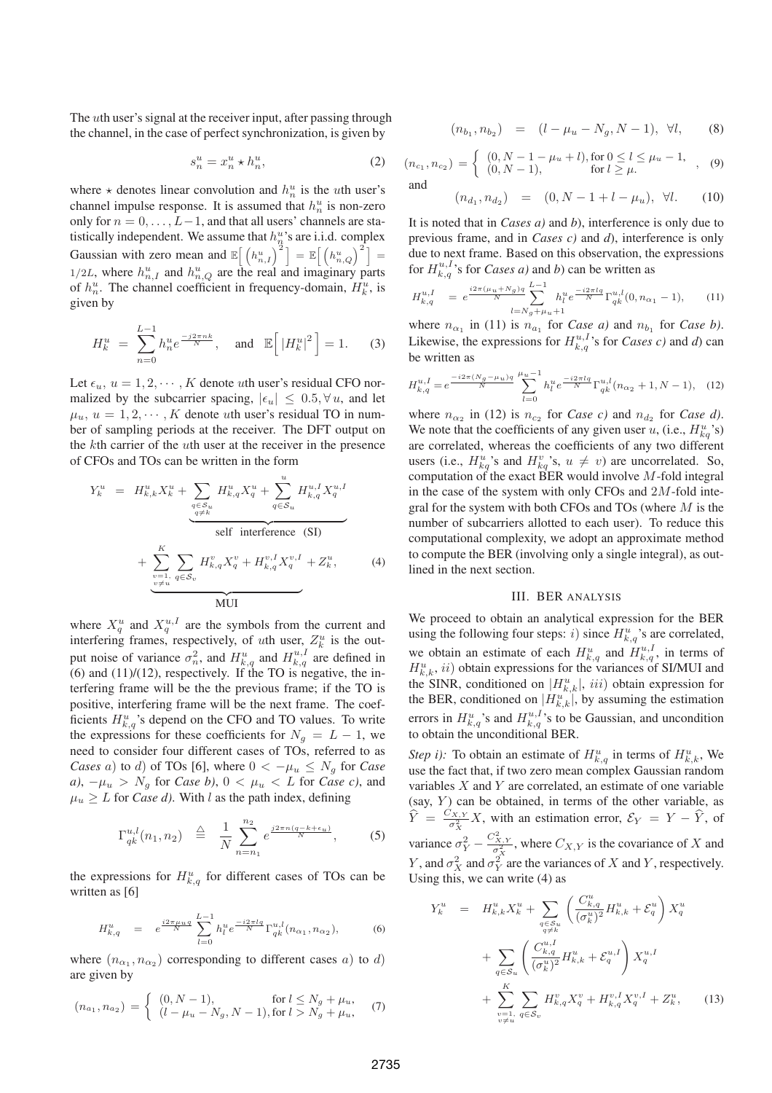The uth user's signal at the receiver input, after passing through the channel, in the case of perfect synchronization, is given by

$$
s_n^u = x_n^u \star h_n^u,\tag{2}
$$

where  $\star$  denotes linear convolution and  $h_n^u$  is the *uth* user's channel impulse response. It is assumed that  $h_n^u$  is non-zero only for  $n = 0, \ldots, L-1$ , and that all users' channels are statistically independent. We assume that  $h_n^u$ 's are i.i.d. complex Gaussian with zero mean and  $\mathbb{E} \left[ \left( h_{n,I}^u \right)^2 \right] = \mathbb{E} \left[ \left( h_{n,Q}^u \right)^2 \right] =$  $1/2L$ , where  $h_{n,I}^u$  and  $h_{n,Q}^u$  are the real and imaginary parts of  $h_n^u$ . The channel coefficient in frequency-domain,  $H_k^u$ , is given by

$$
H_k^u = \sum_{n=0}^{L-1} h_n^u e^{\frac{-j2\pi nk}{N}}, \text{ and } \mathbb{E}\Big[ |H_k^u|^2 \Big] = 1.
$$
 (3)

Let  $\epsilon_u$ ,  $u = 1, 2, \dots, K$  denote *uth* user's residual CFO normalized by the subcarrier spacing,  $|\epsilon_u| \leq 0.5, \forall u$ , and let  $\mu_u, u = 1, 2, \dots, K$  denote *uth* user's residual TO in number of sampling periods at the receiver. The DFT output on the kth carrier of the uth user at the receiver in the presence of CFOs and TOs can be written in the form

$$
Y_{k}^{u} = H_{k,k}^{u} X_{k}^{u} + \sum_{\substack{q \in S_{u} \\ q \neq k}} H_{k,q}^{u} X_{q}^{u} + \sum_{q \in S_{u}} H_{k,q}^{u} X_{q}^{u} X_{q}^{u}
$$
  
self interference (SI)  
+ 
$$
\sum_{\substack{v=1, \\ v \neq u}}^{K} \sum_{q \in S_{v}} H_{k,q}^{v} X_{q}^{v} + H_{k,q}^{v, I} X_{q}^{v, I} + Z_{k}^{u}, \qquad (4)
$$
  
MUI

where  $X_q^u$  and  $X_q^{u,I}$  are the symbols from the current and interfering frames, respectively, of *uth* user,  $Z_k^u$  is the output noise of variance  $\sigma_n^2$ , and  $H_{k,q}^u$  and  $H_{k,q}^{u,I}$  are defined in  $(6)$  and  $(11)/(12)$ , respectively. If the TO is negative, the interfering frame will be the the previous frame; if the TO is positive, interfering frame will be the next frame. The coefficients  $H_{k,q}^u$ 's depend on the CFO and TO values. To write the expressions for these coefficients for  $N_g = L - 1$ , we need to consider four different cases of TOs, referred to as *Cases* a) to d) of TOs [6], where  $0 < -\mu_u \leq N_g$  for *Case a*),  $-\mu_u > N_g$  for *Case b*),  $0 < \mu_u < L$  for *Case c*), and  $\mu_u \geq L$  for *Case d*). With l as the path index, defining

$$
\Gamma_{qk}^{u,l}(n_1, n_2) \triangleq \frac{1}{N} \sum_{n=n_1}^{n_2} e^{\frac{j2\pi n (q - k + \epsilon_u)}{N}}, \qquad (5)
$$

the expressions for  $H_{k,q}^u$  for different cases of TOs can be written as [6]

$$
H_{k,q}^u = e^{\frac{i2\pi\mu_u q}{N}} \sum_{l=0}^{L-1} h_l^u e^{\frac{-i2\pi l q}{N}} \Gamma_{qk}^{u,l}(n_{\alpha_1}, n_{\alpha_2}), \tag{6}
$$

where  $(n_{\alpha_1}, n_{\alpha_2})$  corresponding to different cases a) to d) are given by

$$
(n_{a_1}, n_{a_2}) = \begin{cases} (0, N-1), & \text{for } l \le N_g + \mu_u, \\ (l - \mu_u - N_g, N-1), & \text{for } l > N_g + \mu_u, \end{cases} (7)
$$

$$
(n_{b_1}, n_{b_2}) = (l - \mu_u - N_g, N - 1), \ \forall l,
$$
 (8)

$$
(n_{c_1}, n_{c_2}) = \begin{cases} (0, N - 1 - \mu_u + l), \text{for } 0 \le l \le \mu_u - 1, \\ (0, N - 1), \text{ for } l \ge \mu. \end{cases}
$$
  
and  

$$
(n_{d_1}, n_{d_2}) = (0, N - 1 + l - \mu_u), \forall l.
$$
 (10)

It is noted that in *Cases a)* and *b*), interference is only due to previous frame, and in *Cases c)* and *d*), interference is only due to next frame. Based on this observation, the expressions for  $H_{k,q}^{u,I}$ 's for *Cases a*) and *b*) can be written as

$$
H_{k,q}^{u,I} = e^{\frac{i2\pi(\mu_u + N_g)q}{N}} \sum_{l=N_g + \mu_u + 1}^{L-1} h_l^u e^{\frac{-i2\pi lq}{N}} \Gamma_{qk}^{u,l}(0, n_{\alpha_1} - 1), \qquad (11)
$$

where  $n_{\alpha_1}$  in (11) is  $n_{a_1}$  for *Case a)* and  $n_{b_1}$  for *Case b)*. Likewise, the expressions for  $H_{k,q}^{u,I}$ 's for *Cases c*) and *d*) can be written as

$$
H_{k,q}^{u,I} = e^{\frac{-i2\pi (N_g - \mu_u)q}{N}} \sum_{l=0}^{\mu_u - 1} h_l^u e^{\frac{-i2\pi lq}{N}} \Gamma_{qk}^{u,l} (n_{\alpha_2} + 1, N - 1), \quad (12)
$$

where  $n_{\alpha_2}$  in (12) is  $n_{c_2}$  for *Case c)* and  $n_{d_2}$  for *Case d)*. We note that the coefficients of any given user u, (i.e.,  $H_{kq}^u$ 's) are correlated, whereas the coefficients of any two different users (i.e.,  $H_{kq}^u$ 's and  $H_{kq}^v$ 's,  $u \neq v$ ) are uncorrelated. So, computation of the exact BER would involve  $M$ -fold integral in the case of the system with only CFOs and  $2M$ -fold integral for the system with both CFOs and TOs (where  $M$  is the number of subcarriers allotted to each user). To reduce this computational complexity, we adopt an approximate method to compute the BER (involving only a single integral), as outlined in the next section.

# III. BER ANALYSIS

We proceed to obtain an analytical expression for the BER using the following four steps: *i*) since  $H_{k,q}^u$ 's are correlated, we obtain an estimate of each  $H_{k,q}^u$  and  $H_{k,q}^{u,I}$ , in terms of  $H_{k,k}^{u}$ ,  $ii)$  obtain expressions for the variances of SI/MUI and the SINR, conditioned on  $|H_{k,k}^u|$ , iii) obtain expression for the BER, conditioned on  $|H_{k,k}^{u^{(k)}}|$ , by assuming the estimation errors in  $H_{k,q}^u$ 's and  $H_{k,q}^{u,I}$ 's to be Gaussian, and uncondition to obtain the unconditional BER.

*Step i)*: To obtain an estimate of  $H_{k,q}^u$  in terms of  $H_{k,k}^u$ , We use the fact that, if two zero mean complex Gaussian random variables  $X$  and  $Y$  are correlated, an estimate of one variable (say,  $Y$ ) can be obtained, in terms of the other variable, as  $\hat{Y} = \frac{C_{X,Y}}{\sigma_Y^2} X$ , with an estimation error,  $\mathcal{E}_Y = Y - \hat{Y}$ , of variance  $\sigma_Y^2 - \frac{C_{X,Y}^2}{\sigma_X^2}$ , where  $C_{X,Y}$  is the covariance of X and *Y*, and  $\sigma_Y^2$  and  $\sigma_Y^2$  are the variances of *X* and *Y*, respectively. Using this, we can write (4) as

$$
Y_{k}^{u} = H_{k,k}^{u} X_{k}^{u} + \sum_{\substack{q \in S_{u} \\ q \neq k}} \left( \frac{C_{k,q}^{u}}{(\sigma_{k}^{u})^{2}} H_{k,k}^{u} + \mathcal{E}_{q}^{u} \right) X_{q}^{u}
$$

$$
+ \sum_{q \in S_{u}} \left( \frac{C_{k,q}^{u,I}}{(\sigma_{k}^{u})^{2}} H_{k,k}^{u} + \mathcal{E}_{q}^{u,I} \right) X_{q}^{u,I}
$$

$$
+ \sum_{\substack{v=1, \\ v \neq u}}^{K} \sum_{q \in S_{v}} H_{k,q}^{v} X_{q}^{v} + H_{k,q}^{v,I} X_{q}^{v,I} + Z_{k}^{u}, \qquad (13)
$$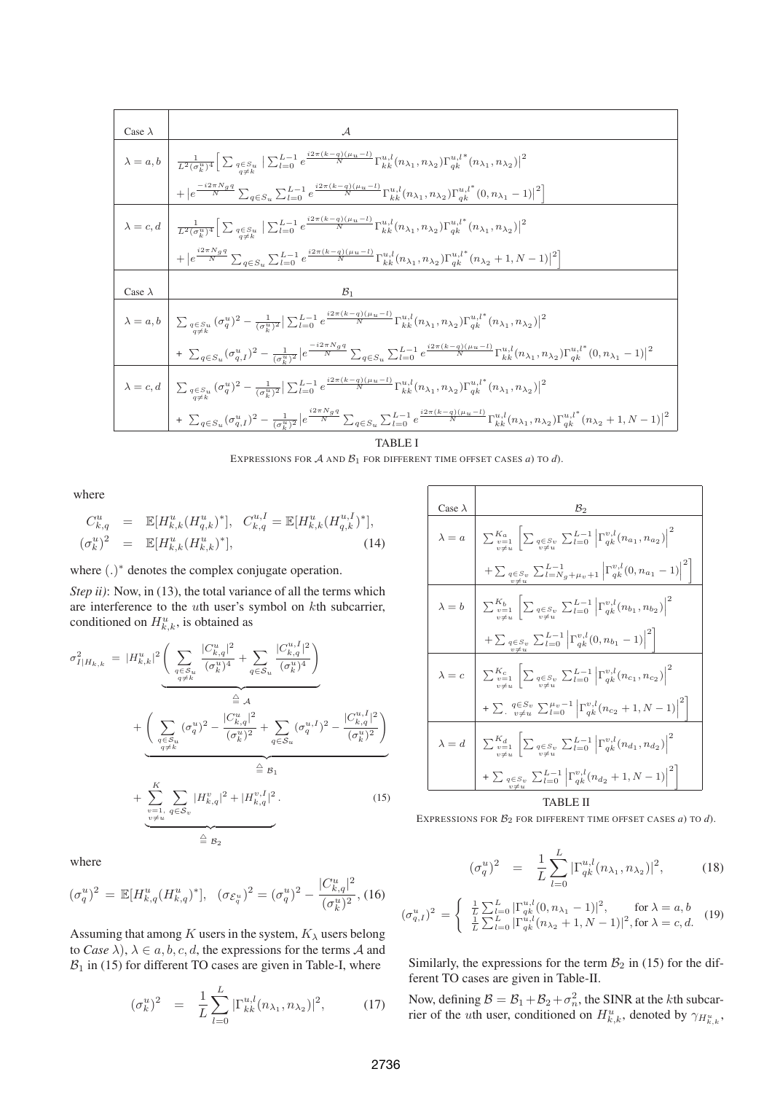$$
\begin{split} &\frac{\text{Case }\lambda}{\lambda=a,b}\quad\frac{\mathcal{A}}{\frac{1}{L^{2}(\sigma_{k}^{u})^{4}}\Big[\sum_{\substack{q\in S_{k} \\ q\neq k}}|\sum_{l=0}^{L-1}e^{\frac{i2\pi (k-q)(\mu_{u}-l)}{N}}\Gamma_{kk}^{u,l}(n_{\lambda_{1}},n_{\lambda_{2}})\Gamma_{qk}^{u,l*}(n_{\lambda_{1}},n_{\lambda_{2}})\big|^{2}} \\&+|e^{\frac{-i2\pi N_{g}q}{N}}\sum_{q\in S_{u}}\sum_{l=0}^{L-1}e^{\frac{i2\pi (k-q)(\mu_{u}-l)}{N}}\Gamma_{kk}^{u,l}(n_{\lambda_{1}},n_{\lambda_{2}})\Gamma_{qk}^{u,l*}(0,n_{\lambda_{1}}-1)\big|^{2}\Big]} \\&\lambda=c,d\quad\frac{1}{L^{2}(\sigma_{k}^{u})^{4}}\Big[\sum_{\substack{q\in S_{u} \\ q\neq k}}|\sum_{l=0}^{L-1}e^{\frac{i2\pi (k-q)(\mu_{u}-l)}{N}}\Gamma_{kk}^{u,l}(n_{\lambda_{1}},n_{\lambda_{2}})\Gamma_{qk}^{u,l*}(n_{\lambda_{1}},n_{\lambda_{2}})\big|^{2}} \\&+|e^{\frac{i2\pi N_{g}q}{N}}\sum_{q\in S_{u}}\sum_{l=0}^{L-1}e^{\frac{i2\pi (k-q)(\mu_{u}-l)}{N}}\Gamma_{kk}^{u,l}(n_{\lambda_{1}},n_{\lambda_{2}})\Gamma_{qk}^{u,l*}(n_{\lambda_{2}}+1,N-1)\big|^{2}\Big]\\&\text{Case }\lambda\\&\lambda=a,b\quad\quad\sum_{\substack{q\in S_{u} \\ q\neq k}}(\sigma_{q}^{u})^{2}-\frac{1}{(\sigma_{k}^{u})^{2}}|\sum_{l=0}^{L-1}e^{\frac{i2\pi (k-q)(\mu_{u}-l)}{N}}\Gamma_{kk}^{u,l}(n_{\lambda_{1}},n_{\lambda_{2}})\Gamma_{qk}^{u,l*}(n_{\lambda_{1}},n_{\lambda_{2}})\big|^{2}} \\&+\sum_{q\in S_{u}}(\sigma_{q,l}^{u})^{2}-\frac{1}{(\sigma_{k}^{u})^{2}}|e^{\frac{-i2\pi N_{g}q}{N}}\sum_{q\in S_{u}}\sum_{l=
$$

EXPRESSIONS FOR  $A$  AND  $B_1$  for different time offset cases *a*) to *d*).

where

$$
C_{k,q}^{u} = \mathbb{E}[H_{k,k}^{u}(H_{q,k}^{u})^{*}], \quad C_{k,q}^{u,I} = \mathbb{E}[H_{k,k}^{u}(H_{q,k}^{u,I})^{*}],
$$
  

$$
(\sigma_{k}^{u})^{2} = \mathbb{E}[H_{k,k}^{u}(H_{k,k}^{u})^{*}], \quad (14)
$$

where (.)<sup>∗</sup> denotes the complex conjugate operation.

*Step ii)*: Now, in (13), the total variance of all the terms which are interference to the uth user's symbol on kth subcarrier, conditioned on  $H_{k,k}^u$ , is obtained as

$$
\sigma_{I|H_{k,k}}^2 = |H_{k,k}^u|^2 \underbrace{\left(\sum_{q \in S_u} \frac{|C_{k,q}^u|^2}{(\sigma_k^u)^4} + \sum_{q \in S_u} \frac{|C_{k,q}^{u,I}|^2}{(\sigma_k^u)^4}\right)}_{\substack{q \neq k}} + \underbrace{\left(\sum_{q \in S_u} (\sigma_q^u)^2 - \frac{|C_{k,q}^u|^2}{(\sigma_k^u)^2} + \sum_{q \in S_u} (\sigma_q^{u,I})^2 - \frac{|C_{k,q}^{u,I}|^2}{(\sigma_k^u)^2}\right)}_{\equiv \mathcal{B}_1} + \underbrace{\sum_{\substack{v=1, \ q \in S_v}}^K \sum_{q \in S_v} |H_{k,q}^v|^2 + |H_{k,q}^{v,I}|^2}_{\equiv \mathcal{B}_2}.
$$
\n(15)

where

$$
(\sigma_q^u)^2 = \mathbb{E}[H_{k,q}^u (H_{k,q}^u)^*], \quad (\sigma_{\mathcal{E}_q^u})^2 = (\sigma_q^u)^2 - \frac{|C_{k,q}^u|^2}{(\sigma_k^u)^2},
$$
(16)

Assuming that among K users in the system,  $K_{\lambda}$  users belong to *Case*  $\lambda$ ,  $\lambda \in a, b, c, d$ , the expressions for the terms A and  $B_1$  in (15) for different TO cases are given in Table-I, where

$$
(\sigma_k^u)^2 = \frac{1}{L} \sum_{l=0}^L |\Gamma_{kk}^{u,l}(n_{\lambda_1}, n_{\lambda_2})|^2, \quad (17)
$$

| Case $\lambda$ | $\mathcal{B}_2$                                                                                                                                                                                                                                                                                                                                                                                                                                                                                                                                 |
|----------------|-------------------------------------------------------------------------------------------------------------------------------------------------------------------------------------------------------------------------------------------------------------------------------------------------------------------------------------------------------------------------------------------------------------------------------------------------------------------------------------------------------------------------------------------------|
| $\lambda = a$  | $\left  \sum_{v=1}^{K_a} \left  \sum_{q \in S_v} \sum_{l=0}^{L-1} \left  \Gamma_{qk}^{v,l}(n_{a_1}, n_{a_2}) \right ^2 \right  \right.$                                                                                                                                                                                                                                                                                                                                                                                                         |
|                | $+\sum_{\substack{q \in S_v \\ v \neq u}} \sum_{L=N_g+\mu_v+1}^{L-1} \left  \Gamma_{qk}^{v,l}(0, n_{a_1} - 1) \right ^2$                                                                                                                                                                                                                                                                                                                                                                                                                        |
| $\lambda = b$  | $\left  \sum_{v=1}^{K_b} \left  \sum_{q \in S_v \atop n \neq u} \sum_{l=0}^{L-1} \left  \Gamma_{qk}^{v,l}(n_{b_1},n_{b_2}) \right ^2 \right  \right.$                                                                                                                                                                                                                                                                                                                                                                                           |
|                | $+\sum_{q \in S_v \atop n \neq u} \sum_{l=0}^{L-1} \left  \Gamma_{qk}^{v,l}(0, n_{b_1} - 1) \right ^2$                                                                                                                                                                                                                                                                                                                                                                                                                                          |
|                | $\lambda = c \begin{array}{c} \begin{array}{c} \end{array} \begin{array}{c} \end{array} \begin{array}{c} \sum_{v=1}^{K_c} \end{array} \begin{array}{c} \begin{array}{c} \end{array} \begin{array}{c} \end{array} \begin{array}{c} \end{array} \begin{array}{c} \end{array} \begin{array}{c} \end{array} \begin{array}{c} \end{array} \begin{array}{c} \end{array} \begin{array}{c} \end{array} \begin{array}{c} \end{array} \begin{array}{c} \end{array} \begin{array}{c} \end{array} \begin{array}{c} \end{array} \begin{array}{c} \end{array$ |
|                | $+\sum_{v\neq u} \frac{q\in S_v}{v\neq u} \sum_{l=0}^{\mu_v-1} \left  \Gamma_{qk}^{v,l}(n_{c_2}+1,N-1) \right ^2$                                                                                                                                                                                                                                                                                                                                                                                                                               |
|                | $\lambda = d \left[ \sum_{v=1}^{K_d} \left  \sum_{q \in S_v} \sum_{l=0}^{L-1} \left  \Gamma_{qk}^{v,l}(n_{d_1}, n_{d_2}) \right ^2 \right. \right]$                                                                                                                                                                                                                                                                                                                                                                                             |
|                | $+\sum_{q\in S_v}\sum_{l=0}^{L-1}\left \Gamma_{qk}^{v,l}(n_{d_2}+1,N-1)\right ^2$                                                                                                                                                                                                                                                                                                                                                                                                                                                               |
| TABLE II       |                                                                                                                                                                                                                                                                                                                                                                                                                                                                                                                                                 |

EXPRESSIONS FOR *B*<sup>2</sup> FOR DIFFERENT TIME OFFSET CASES *a*) TO *d*).

$$
\sigma_q^u)^2 = \frac{1}{L} \sum_{l=0}^L |\Gamma_{qk}^{u,l}(n_{\lambda_1}, n_{\lambda_2})|^2, \quad (18)
$$

$$
(\sigma_{q,I}^u)^2 = \begin{cases} \frac{1}{L} \sum_{l=0}^{L} |\Gamma_{qk}^{u,l}(0, n_{\lambda_1} - 1)|^2, & \text{for } \lambda = a, b\\ \frac{1}{L} \sum_{l=0}^{L} |\Gamma_{qk}^{u,l}(n_{\lambda_2} + 1, N - 1)|^2, & \text{for } \lambda = c, d. \end{cases}
$$
(19)

 $\overline{(}$ 

Similarly, the expressions for the term  $B_2$  in (15) for the different TO cases are given in Table-II.

Now, defining  $B = B_1 + B_2 + \sigma_n^2$ , the SINR at the *k*th subcarrier of the *u*th user, conditioned on  $H_{k,k}^u$ , denoted by  $\gamma_{H_{k,k}^u}$ ,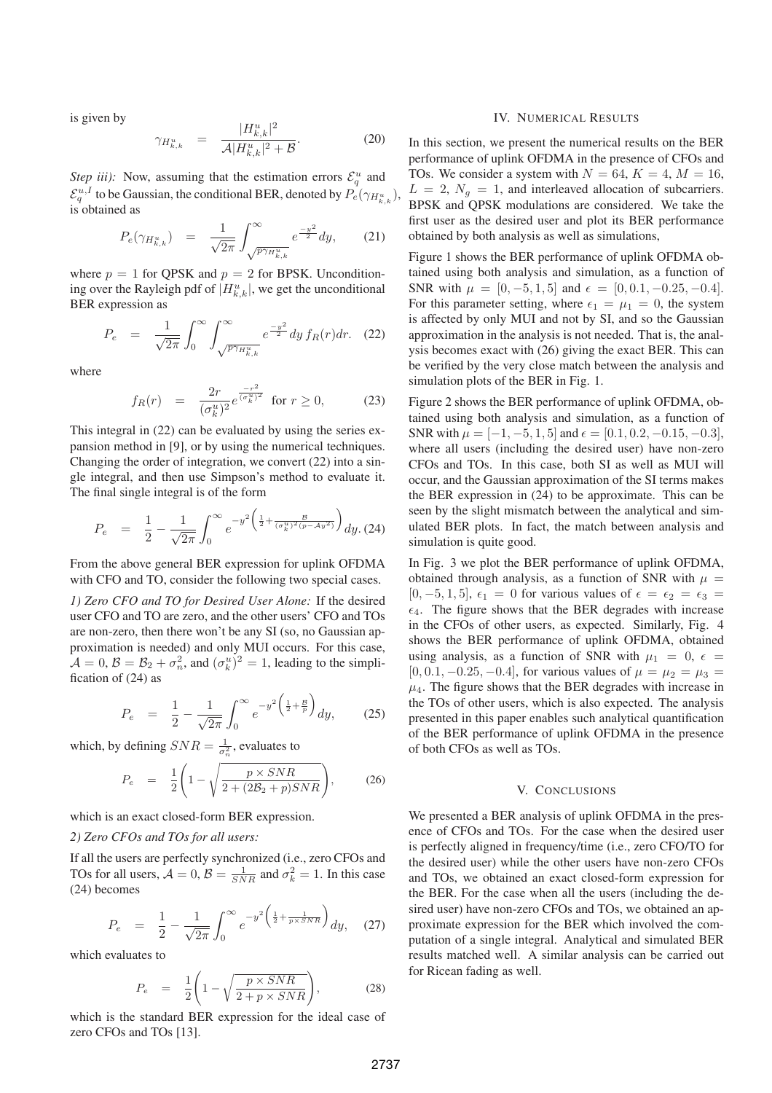is given by

$$
\gamma_{H_{k,k}^u} = \frac{|H_{k,k}^u|^2}{\mathcal{A}|H_{k,k}^u|^2 + \mathcal{B}}.
$$
\n(20)

*Step iii)*: Now, assuming that the estimation errors  $\mathcal{E}_q^u$  and  $\mathcal{E}_q^{u,I}$  to be Gaussian, the conditional BER, denoted by  $\mathcal{P}_e(\gamma_{H_{k,k}^u}),$ is obtained as

$$
P_e(\gamma_{H_{k,k}^u}) = \frac{1}{\sqrt{2\pi}} \int_{\sqrt{p\gamma_{H_{k,k}^u}}}^{\infty} e^{\frac{-y^2}{2}} dy, \qquad (21)
$$

where  $p = 1$  for QPSK and  $p = 2$  for BPSK. Unconditioning over the Rayleigh pdf of  $|H_{k,k}^u|$ , we get the unconditional BER expression as

$$
P_e = \frac{1}{\sqrt{2\pi}} \int_0^\infty \int_{\sqrt{p\gamma_H^n_{k,k}}}^\infty e^{\frac{-y^2}{2}} dy f_R(r) dr. \tag{22}
$$

where

$$
f_R(r) = \frac{2r}{(\sigma_k^u)^2} e^{\frac{-r^2}{(\sigma_k^u)^2}} \text{ for } r \ge 0,
$$
 (23)

This integral in (22) can be evaluated by using the series expansion method in [9], or by using the numerical techniques. Changing the order of integration, we convert (22) into a single integral, and then use Simpson's method to evaluate it. The final single integral is of the form

$$
P_e = \frac{1}{2} - \frac{1}{\sqrt{2\pi}} \int_0^\infty e^{-y^2 \left(\frac{1}{2} + \frac{B}{(\sigma_k^u)^2 (p - Ay^2)}\right)} dy. (24)
$$

From the above general BER expression for uplink OFDMA with CFO and TO, consider the following two special cases.

*1) Zero CFO and TO for Desired User Alone:* If the desired user CFO and TO are zero, and the other users' CFO and TOs are non-zero, then there won't be any SI (so, no Gaussian approximation is needed) and only MUI occurs. For this case,  $\mathcal{A} = 0$ ,  $\mathcal{B} = \mathcal{B}_2 + \sigma_n^2$ , and  $(\sigma_k^u)^2 = 1$ , leading to the simplification of (24) as

$$
P_e = \frac{1}{2} - \frac{1}{\sqrt{2\pi}} \int_0^\infty e^{-y^2 \left(\frac{1}{2} + \frac{B}{p}\right)} dy, \qquad (25)
$$

which, by defining  $SNR = \frac{1}{\sigma_n^2}$ , evaluates to

$$
P_e = \frac{1}{2} \left( 1 - \sqrt{\frac{p \times SNR}{2 + (2\mathcal{B}_2 + p)SNR}} \right), \tag{26}
$$

which is an exact closed-form BER expression.

# *2) Zero CFOs and TOs for all users:*

If all the users are perfectly synchronized (i.e., zero CFOs and TOs for all users,  $\mathcal{A} = 0$ ,  $\mathcal{B} = \frac{1}{SNR}$  and  $\sigma_k^2 = 1$ . In this case (24) becomes

$$
P_e = \frac{1}{2} - \frac{1}{\sqrt{2\pi}} \int_0^\infty e^{-y^2 \left(\frac{1}{2} + \frac{1}{p \times SNR}\right)} dy, \quad (27)
$$

which evaluates to

$$
P_e = \frac{1}{2} \left( 1 - \sqrt{\frac{p \times SNR}{2 + p \times SNR}} \right), \tag{28}
$$

which is the standard BER expression for the ideal case of zero CFOs and TOs [13].

# IV. NUMERICAL RESULTS

In this section, we present the numerical results on the BER performance of uplink OFDMA in the presence of CFOs and TOs. We consider a system with  $N = 64$ ,  $K = 4$ ,  $M = 16$ ,  $L = 2$ ,  $N_g = 1$ , and interleaved allocation of subcarriers. BPSK and QPSK modulations are considered. We take the first user as the desired user and plot its BER performance obtained by both analysis as well as simulations,

Figure 1 shows the BER performance of uplink OFDMA obtained using both analysis and simulation, as a function of SNR with  $\mu = [0, -5, 1, 5]$  and  $\epsilon = [0, 0.1, -0.25, -0.4]$ . For this parameter setting, where  $\epsilon_1 = \mu_1 = 0$ , the system is affected by only MUI and not by SI, and so the Gaussian approximation in the analysis is not needed. That is, the analysis becomes exact with (26) giving the exact BER. This can be verified by the very close match between the analysis and simulation plots of the BER in Fig. 1.

Figure 2 shows the BER performance of uplink OFDMA, obtained using both analysis and simulation, as a function of SNR with  $\mu = [-1, -5, 1, 5]$  and  $\epsilon = [0.1, 0.2, -0.15, -0.3]$ , where all users (including the desired user) have non-zero CFOs and TOs. In this case, both SI as well as MUI will occur, and the Gaussian approximation of the SI terms makes the BER expression in (24) to be approximate. This can be seen by the slight mismatch between the analytical and simulated BER plots. In fact, the match between analysis and simulation is quite good.

In Fig. 3 we plot the BER performance of uplink OFDMA, obtained through analysis, as a function of SNR with  $\mu =$ [0, -5, 1, 5],  $\epsilon_1 = 0$  for various values of  $\epsilon = \epsilon_2 = \epsilon_3$  =  $\epsilon_4$ . The figure shows that the BER degrades with increase in the CFOs of other users, as expected. Similarly, Fig. 4 shows the BER performance of uplink OFDMA, obtained using analysis, as a function of SNR with  $\mu_1 = 0$ ,  $\epsilon =$  $[0, 0.1, -0.25, -0.4]$ , for various values of  $\mu = \mu_2 = \mu_3 =$  $\mu_4$ . The figure shows that the BER degrades with increase in the TOs of other users, which is also expected. The analysis presented in this paper enables such analytical quantification of the BER performance of uplink OFDMA in the presence of both CFOs as well as TOs.

# V. CONCLUSIONS

We presented a BER analysis of uplink OFDMA in the presence of CFOs and TOs. For the case when the desired user is perfectly aligned in frequency/time (i.e., zero CFO/TO for the desired user) while the other users have non-zero CFOs and TOs, we obtained an exact closed-form expression for the BER. For the case when all the users (including the desired user) have non-zero CFOs and TOs, we obtained an approximate expression for the BER which involved the computation of a single integral. Analytical and simulated BER results matched well. A similar analysis can be carried out for Ricean fading as well.